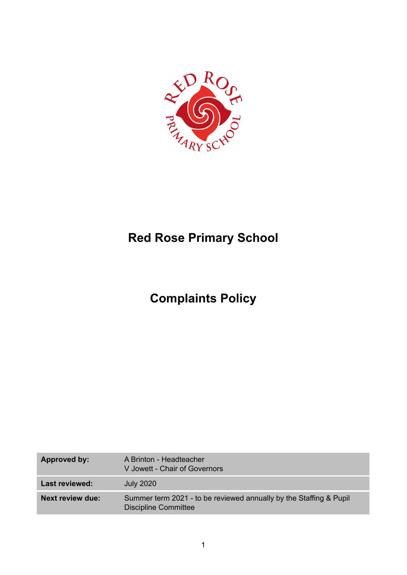

# **Red Rose Primary School**

# **Complaints Policy**

| Approved by:            | A Brinton - Headteacher<br>V Jowett - Chair of Governors                                   |
|-------------------------|--------------------------------------------------------------------------------------------|
| Last reviewed:          | <b>July 2020</b>                                                                           |
| <b>Next review due:</b> | Summer term 2021 - to be reviewed annually by the Staffing & Pupil<br>Discipline Committee |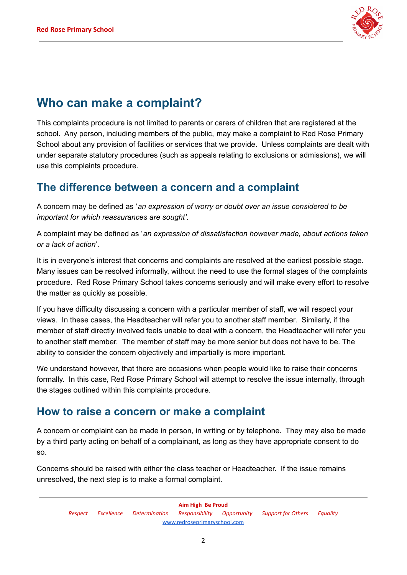

## **Who can make a complaint?**

This complaints procedure is not limited to parents or carers of children that are registered at the school. Any person, including members of the public, may make a complaint to Red Rose Primary School about any provision of facilities or services that we provide. Unless complaints are dealt with under separate statutory procedures (such as appeals relating to exclusions or admissions), we will use this complaints procedure.

### **The difference between a concern and a complaint**

A concern may be defined as '*an expression of worry or doubt over an issue considered to be important for which reassurances are sought'*.

A complaint may be defined as '*an expression of dissatisfaction however made, about actions taken or a lack of action*'.

It is in everyone's interest that concerns and complaints are resolved at the earliest possible stage. Many issues can be resolved informally, without the need to use the formal stages of the complaints procedure. Red Rose Primary School takes concerns seriously and will make every effort to resolve the matter as quickly as possible.

If you have difficulty discussing a concern with a particular member of staff, we will respect your views. In these cases, the Headteacher will refer you to another staff member. Similarly, if the member of staff directly involved feels unable to deal with a concern, the Headteacher will refer you to another staff member. The member of staff may be more senior but does not have to be. The ability to consider the concern objectively and impartially is more important.

We understand however, that there are occasions when people would like to raise their concerns formally. In this case, Red Rose Primary School will attempt to resolve the issue internally, through the stages outlined within this complaints procedure.

### **How to raise a concern or make a complaint**

A concern or complaint can be made in person, in writing or by telephone. They may also be made by a third party acting on behalf of a complainant, as long as they have appropriate consent to do so.

Concerns should be raised with either the class teacher or Headteacher. If the issue remains unresolved, the next step is to make a formal complaint.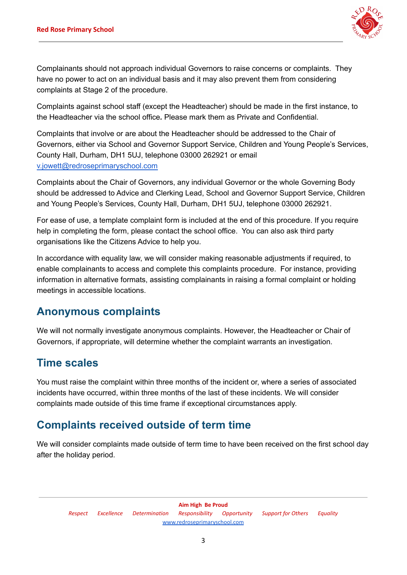

Complainants should not approach individual Governors to raise concerns or complaints. They have no power to act on an individual basis and it may also prevent them from considering complaints at Stage 2 of the procedure.

Complaints against school staff (except the Headteacher) should be made in the first instance, to the Headteacher via the school office*.* Please mark them as Private and Confidential.

Complaints that involve or are about the Headteacher should be addressed to the Chair of Governors, either via School and Governor Support Service, Children and Young People's Services, County Hall, Durham, DH1 5UJ, telephone 03000 262921 or email [v.jowett@redroseprimaryschool.com](mailto:v.jowett@redroseprimaryschool.com)

Complaints about the Chair of Governors, any individual Governor or the whole Governing Body should be addressed to Advice and Clerking Lead, School and Governor Support Service, Children and Young People's Services, County Hall, Durham, DH1 5UJ, telephone 03000 262921.

For ease of use, a template complaint form is included at the end of this procedure. If you require help in completing the form, please contact the school office. You can also ask third party organisations like the Citizens Advice to help you.

In accordance with equality law, we will consider making reasonable adjustments if required, to enable complainants to access and complete this complaints procedure. For instance, providing information in alternative formats, assisting complainants in raising a formal complaint or holding meetings in accessible locations.

### **Anonymous complaints**

We will not normally investigate anonymous complaints. However, the Headteacher or Chair of Governors, if appropriate, will determine whether the complaint warrants an investigation.

### **Time scales**

You must raise the complaint within three months of the incident or, where a series of associated incidents have occurred, within three months of the last of these incidents. We will consider complaints made outside of this time frame if exceptional circumstances apply.

## **Complaints received outside of term time**

We will consider complaints made outside of term time to have been received on the first school day after the holiday period.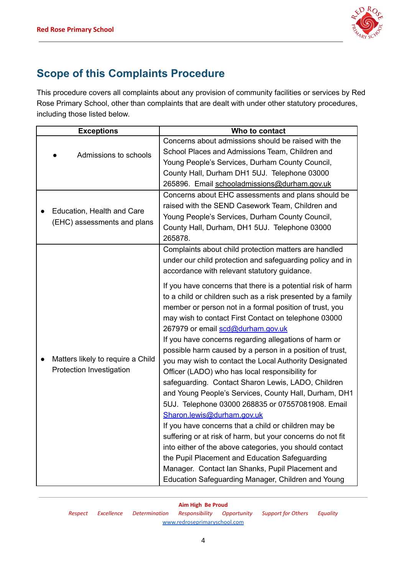

## **Scope of this Complaints Procedure**

This procedure covers all complaints about any provision of community facilities or services by Red Rose Primary School, other than complaints that are dealt with under other statutory procedures, including those listed below.

| <b>Exceptions</b>                                             | Who to contact                                                                                                                                                                                                                                                                                                                                                                                                                                                                                                                                                                                                                                                                                                                                                                                                                                                                                                                                       |
|---------------------------------------------------------------|------------------------------------------------------------------------------------------------------------------------------------------------------------------------------------------------------------------------------------------------------------------------------------------------------------------------------------------------------------------------------------------------------------------------------------------------------------------------------------------------------------------------------------------------------------------------------------------------------------------------------------------------------------------------------------------------------------------------------------------------------------------------------------------------------------------------------------------------------------------------------------------------------------------------------------------------------|
| Admissions to schools                                         | Concerns about admissions should be raised with the<br>School Places and Admissions Team, Children and<br>Young People's Services, Durham County Council,<br>County Hall, Durham DH1 5UJ. Telephone 03000<br>265896. Email schooladmissions@durham.gov.uk                                                                                                                                                                                                                                                                                                                                                                                                                                                                                                                                                                                                                                                                                            |
| Education, Health and Care<br>(EHC) assessments and plans     | Concerns about EHC assessments and plans should be<br>raised with the SEND Casework Team, Children and<br>Young People's Services, Durham County Council,<br>County Hall, Durham, DH1 5UJ. Telephone 03000<br>265878.                                                                                                                                                                                                                                                                                                                                                                                                                                                                                                                                                                                                                                                                                                                                |
| Matters likely to require a Child<br>Protection Investigation | Complaints about child protection matters are handled<br>under our child protection and safeguarding policy and in<br>accordance with relevant statutory guidance.<br>If you have concerns that there is a potential risk of harm<br>to a child or children such as a risk presented by a family<br>member or person not in a formal position of trust, you<br>may wish to contact First Contact on telephone 03000<br>267979 or email scd@durham.gov.uk<br>If you have concerns regarding allegations of harm or<br>possible harm caused by a person in a position of trust,<br>you may wish to contact the Local Authority Designated<br>Officer (LADO) who has local responsibility for<br>safeguarding. Contact Sharon Lewis, LADO, Children<br>and Young People's Services, County Hall, Durham, DH1<br>5UJ. Telephone 03000 268835 or 07557081908. Email<br>Sharon.lewis@durham.gov.uk<br>If you have concerns that a child or children may be |
|                                                               | suffering or at risk of harm, but your concerns do not fit<br>into either of the above categories, you should contact<br>the Pupil Placement and Education Safeguarding<br>Manager. Contact Ian Shanks, Pupil Placement and<br>Education Safeguarding Manager, Children and Young                                                                                                                                                                                                                                                                                                                                                                                                                                                                                                                                                                                                                                                                    |

*Respect Excellence Determination Responsibility Opportunity Support for Others Equality* [www.redroseprimaryschool.com](http://www.redroseprimaryschool.com)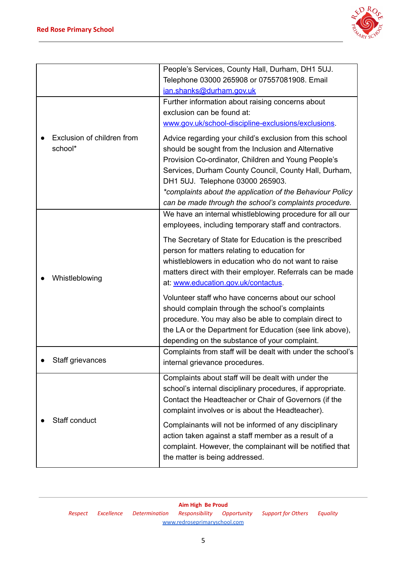

|  |                            | People's Services, County Hall, Durham, DH1 5UJ.                                                     |
|--|----------------------------|------------------------------------------------------------------------------------------------------|
|  |                            | Telephone 03000 265908 or 07557081908. Email                                                         |
|  |                            | ian.shanks@durham.gov.uk                                                                             |
|  |                            | Further information about raising concerns about                                                     |
|  |                            | exclusion can be found at:                                                                           |
|  |                            | www.gov.uk/school-discipline-exclusions/exclusions.                                                  |
|  | Exclusion of children from | Advice regarding your child's exclusion from this school                                             |
|  | school*                    | should be sought from the Inclusion and Alternative                                                  |
|  |                            | Provision Co-ordinator, Children and Young People's                                                  |
|  |                            | Services, Durham County Council, County Hall, Durham,                                                |
|  |                            | DH1 5UJ. Telephone 03000 265903.                                                                     |
|  |                            | *complaints about the application of the Behaviour Policy                                            |
|  |                            | can be made through the school's complaints procedure.                                               |
|  |                            | We have an internal whistleblowing procedure for all our                                             |
|  |                            | employees, including temporary staff and contractors.                                                |
|  |                            |                                                                                                      |
|  |                            | The Secretary of State for Education is the prescribed                                               |
|  |                            | person for matters relating to education for<br>whistleblowers in education who do not want to raise |
|  |                            |                                                                                                      |
|  | Whistleblowing             | matters direct with their employer. Referrals can be made                                            |
|  |                            | at: www.education.gov.uk/contactus.                                                                  |
|  |                            | Volunteer staff who have concerns about our school                                                   |
|  |                            | should complain through the school's complaints                                                      |
|  |                            | procedure. You may also be able to complain direct to                                                |
|  |                            | the LA or the Department for Education (see link above),                                             |
|  |                            | depending on the substance of your complaint.                                                        |
|  |                            | Complaints from staff will be dealt with under the school's                                          |
|  | Staff grievances           | internal grievance procedures.                                                                       |
|  |                            | Complaints about staff will be dealt with under the                                                  |
|  |                            | school's internal disciplinary procedures, if appropriate.                                           |
|  |                            | Contact the Headteacher or Chair of Governors (if the                                                |
|  |                            | complaint involves or is about the Headteacher).                                                     |
|  | Staff conduct              | Complainants will not be informed of any disciplinary                                                |
|  |                            | action taken against a staff member as a result of a                                                 |
|  |                            | complaint. However, the complainant will be notified that                                            |
|  |                            | the matter is being addressed.                                                                       |
|  |                            |                                                                                                      |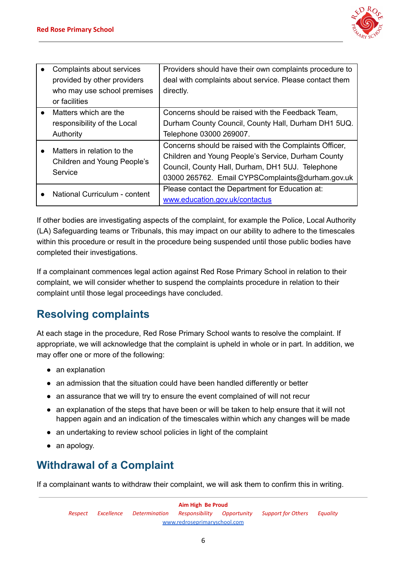

| Complaints about services<br>provided by other providers<br>who may use school premises<br>or facilities | Providers should have their own complaints procedure to<br>deal with complaints about service. Please contact them<br>directly.                                                                                      |
|----------------------------------------------------------------------------------------------------------|----------------------------------------------------------------------------------------------------------------------------------------------------------------------------------------------------------------------|
| Matters which are the<br>responsibility of the Local<br>Authority                                        | Concerns should be raised with the Feedback Team,<br>Durham County Council, County Hall, Durham DH1 5UQ.<br>Telephone 03000 269007.                                                                                  |
| Matters in relation to the<br>Children and Young People's<br>Service                                     | Concerns should be raised with the Complaints Officer,<br>Children and Young People's Service, Durham County<br>Council, County Hall, Durham, DH1 5UJ. Telephone<br>03000 265762. Email CYPSComplaints@durham.gov.uk |
| National Curriculum - content                                                                            | Please contact the Department for Education at:<br>www.education.gov.uk/contactus                                                                                                                                    |

If other bodies are investigating aspects of the complaint, for example the Police, Local Authority (LA) Safeguarding teams or Tribunals, this may impact on our ability to adhere to the timescales within this procedure or result in the procedure being suspended until those public bodies have completed their investigations.

If a complainant commences legal action against Red Rose Primary School in relation to their complaint, we will consider whether to suspend the complaints procedure in relation to their complaint until those legal proceedings have concluded.

## **Resolving complaints**

At each stage in the procedure, Red Rose Primary School wants to resolve the complaint. If appropriate, we will acknowledge that the complaint is upheld in whole or in part. In addition, we may offer one or more of the following:

- an explanation
- an admission that the situation could have been handled differently or better
- an assurance that we will try to ensure the event complained of will not recur
- an explanation of the steps that have been or will be taken to help ensure that it will not happen again and an indication of the timescales within which any changes will be made
- an undertaking to review school policies in light of the complaint
- an apology.

## **Withdrawal of a Complaint**

If a complainant wants to withdraw their complaint, we will ask them to confirm this in writing.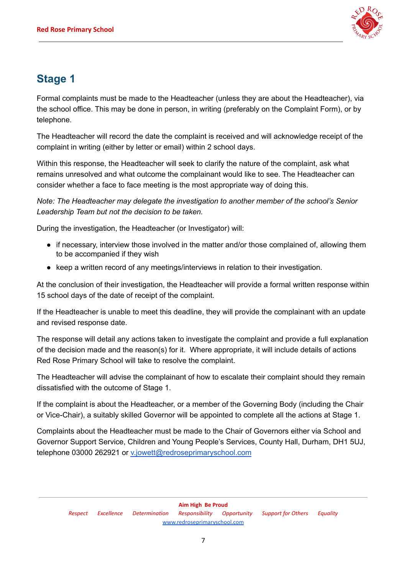

## **Stage 1**

Formal complaints must be made to the Headteacher (unless they are about the Headteacher), via the school office. This may be done in person, in writing (preferably on the Complaint Form), or by telephone.

The Headteacher will record the date the complaint is received and will acknowledge receipt of the complaint in writing (either by letter or email) within 2 school days.

Within this response, the Headteacher will seek to clarify the nature of the complaint, ask what remains unresolved and what outcome the complainant would like to see. The Headteacher can consider whether a face to face meeting is the most appropriate way of doing this.

*Note: The Headteacher may delegate the investigation to another member of the school's Senior Leadership Team but not the decision to be taken.*

During the investigation, the Headteacher (or Investigator) will:

- if necessary, interview those involved in the matter and/or those complained of, allowing them to be accompanied if they wish
- keep a written record of any meetings/interviews in relation to their investigation.

At the conclusion of their investigation, the Headteacher will provide a formal written response within 15 school days of the date of receipt of the complaint.

If the Headteacher is unable to meet this deadline, they will provide the complainant with an update and revised response date.

The response will detail any actions taken to investigate the complaint and provide a full explanation of the decision made and the reason(s) for it. Where appropriate, it will include details of actions Red Rose Primary School will take to resolve the complaint.

The Headteacher will advise the complainant of how to escalate their complaint should they remain dissatisfied with the outcome of Stage 1.

If the complaint is about the Headteacher, or a member of the Governing Body (including the Chair or Vice-Chair), a suitably skilled Governor will be appointed to complete all the actions at Stage 1.

Complaints about the Headteacher must be made to the Chair of Governors either via School and Governor Support Service, Children and Young People's Services, County Hall, Durham, DH1 5UJ, telephone 03000 262921 or [v.jowett@redroseprimaryschool.com](mailto:v.jowett@redroseprimaryschool.com)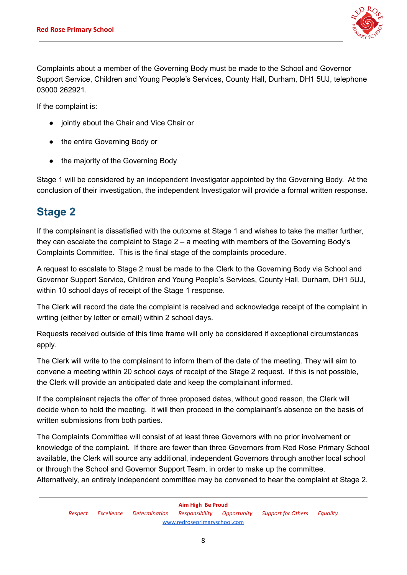

Complaints about a member of the Governing Body must be made to the School and Governor Support Service, Children and Young People's Services, County Hall, Durham, DH1 5UJ, telephone 03000 262921.

If the complaint is:

- jointly about the Chair and Vice Chair or
- the entire Governing Body or
- the majority of the Governing Body

Stage 1 will be considered by an independent Investigator appointed by the Governing Body. At the conclusion of their investigation, the independent Investigator will provide a formal written response.

### **Stage 2**

If the complainant is dissatisfied with the outcome at Stage 1 and wishes to take the matter further, they can escalate the complaint to Stage 2 – a meeting with members of the Governing Body's Complaints Committee. This is the final stage of the complaints procedure.

A request to escalate to Stage 2 must be made to the Clerk to the Governing Body via School and Governor Support Service, Children and Young People's Services, County Hall, Durham, DH1 5UJ, within 10 school days of receipt of the Stage 1 response.

The Clerk will record the date the complaint is received and acknowledge receipt of the complaint in writing (either by letter or email) within 2 school days.

Requests received outside of this time frame will only be considered if exceptional circumstances apply.

The Clerk will write to the complainant to inform them of the date of the meeting. They will aim to convene a meeting within 20 school days of receipt of the Stage 2 request. If this is not possible, the Clerk will provide an anticipated date and keep the complainant informed.

If the complainant rejects the offer of three proposed dates, without good reason, the Clerk will decide when to hold the meeting. It will then proceed in the complainant's absence on the basis of written submissions from both parties.

The Complaints Committee will consist of at least three Governors with no prior involvement or knowledge of the complaint. If there are fewer than three Governors from Red Rose Primary School available, the Clerk will source any additional, independent Governors through another local school or through the School and Governor Support Team, in order to make up the committee. Alternatively, an entirely independent committee may be convened to hear the complaint at Stage 2.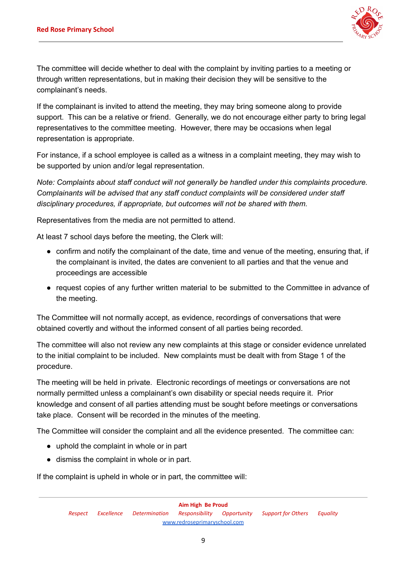

The committee will decide whether to deal with the complaint by inviting parties to a meeting or through written representations, but in making their decision they will be sensitive to the complainant's needs.

If the complainant is invited to attend the meeting, they may bring someone along to provide support. This can be a relative or friend. Generally, we do not encourage either party to bring legal representatives to the committee meeting. However, there may be occasions when legal representation is appropriate.

For instance, if a school employee is called as a witness in a complaint meeting, they may wish to be supported by union and/or legal representation.

*Note: Complaints about staff conduct will not generally be handled under this complaints procedure. Complainants will be advised that any staff conduct complaints will be considered under staff disciplinary procedures, if appropriate, but outcomes will not be shared with them.*

Representatives from the media are not permitted to attend.

At least 7 school days before the meeting, the Clerk will:

- confirm and notify the complainant of the date, time and venue of the meeting, ensuring that, if the complainant is invited, the dates are convenient to all parties and that the venue and proceedings are accessible
- request copies of any further written material to be submitted to the Committee in advance of the meeting.

The Committee will not normally accept, as evidence, recordings of conversations that were obtained covertly and without the informed consent of all parties being recorded.

The committee will also not review any new complaints at this stage or consider evidence unrelated to the initial complaint to be included. New complaints must be dealt with from Stage 1 of the procedure.

The meeting will be held in private. Electronic recordings of meetings or conversations are not normally permitted unless a complainant's own disability or special needs require it. Prior knowledge and consent of all parties attending must be sought before meetings or conversations take place. Consent will be recorded in the minutes of the meeting.

The Committee will consider the complaint and all the evidence presented. The committee can:

- uphold the complaint in whole or in part
- dismiss the complaint in whole or in part.

If the complaint is upheld in whole or in part, the committee will: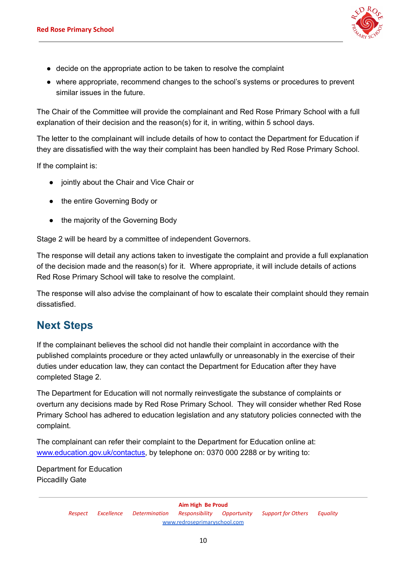

- decide on the appropriate action to be taken to resolve the complaint
- where appropriate, recommend changes to the school's systems or procedures to prevent similar issues in the future.

The Chair of the Committee will provide the complainant and Red Rose Primary School with a full explanation of their decision and the reason(s) for it, in writing, within 5 school days.

The letter to the complainant will include details of how to contact the Department for Education if they are dissatisfied with the way their complaint has been handled by Red Rose Primary School.

If the complaint is:

- jointly about the Chair and Vice Chair or
- the entire Governing Body or
- the majority of the Governing Body

Stage 2 will be heard by a committee of independent Governors.

The response will detail any actions taken to investigate the complaint and provide a full explanation of the decision made and the reason(s) for it. Where appropriate, it will include details of actions Red Rose Primary School will take to resolve the complaint.

The response will also advise the complainant of how to escalate their complaint should they remain dissatisfied.

### **Next Steps**

If the complainant believes the school did not handle their complaint in accordance with the published complaints procedure or they acted unlawfully or unreasonably in the exercise of their duties under education law, they can contact the Department for Education after they have completed Stage 2.

The Department for Education will not normally reinvestigate the substance of complaints or overturn any decisions made by Red Rose Primary School. They will consider whether Red Rose Primary School has adhered to education legislation and any statutory policies connected with the complaint.

The complainant can refer their complaint to the Department for Education online at: [www.education.gov.uk/contactus,](http://www.education.gov.uk/contactus) by telephone on: 0370 000 2288 or by writing to:

Department for Education Piccadilly Gate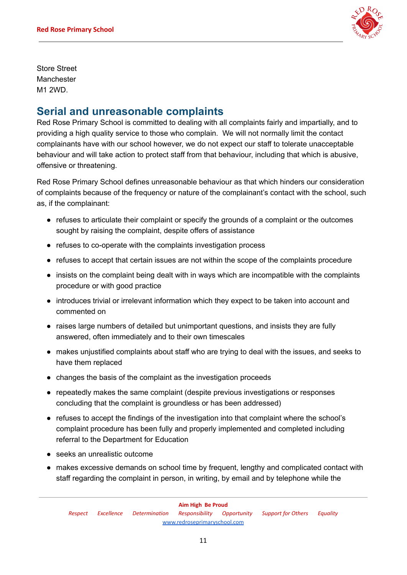

Store Street Manchester M1 2WD.

### **Serial and unreasonable complaints**

Red Rose Primary School is committed to dealing with all complaints fairly and impartially, and to providing a high quality service to those who complain. We will not normally limit the contact complainants have with our school however, we do not expect our staff to tolerate unacceptable behaviour and will take action to protect staff from that behaviour, including that which is abusive, offensive or threatening.

Red Rose Primary School defines unreasonable behaviour as that which hinders our consideration of complaints because of the frequency or nature of the complainant's contact with the school, such as, if the complainant:

- refuses to articulate their complaint or specify the grounds of a complaint or the outcomes sought by raising the complaint, despite offers of assistance
- refuses to co-operate with the complaints investigation process
- refuses to accept that certain issues are not within the scope of the complaints procedure
- insists on the complaint being dealt with in ways which are incompatible with the complaints procedure or with good practice
- introduces trivial or irrelevant information which they expect to be taken into account and commented on
- raises large numbers of detailed but unimportant questions, and insists they are fully answered, often immediately and to their own timescales
- makes unjustified complaints about staff who are trying to deal with the issues, and seeks to have them replaced
- changes the basis of the complaint as the investigation proceeds
- repeatedly makes the same complaint (despite previous investigations or responses concluding that the complaint is groundless or has been addressed)
- refuses to accept the findings of the investigation into that complaint where the school's complaint procedure has been fully and properly implemented and completed including referral to the Department for Education
- seeks an unrealistic outcome
- makes excessive demands on school time by frequent, lengthy and complicated contact with staff regarding the complaint in person, in writing, by email and by telephone while the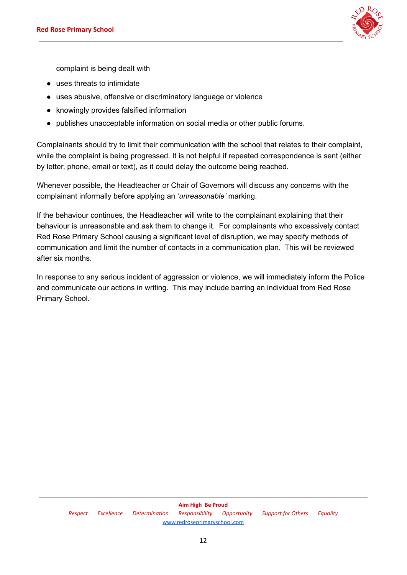

complaint is being dealt with

- uses threats to intimidate
- uses abusive, offensive or discriminatory language or violence
- knowingly provides falsified information
- publishes unacceptable information on social media or other public forums.

Complainants should try to limit their communication with the school that relates to their complaint, while the complaint is being progressed. It is not helpful if repeated correspondence is sent (either by letter, phone, email or text), as it could delay the outcome being reached.

Whenever possible, the Headteacher or Chair of Governors will discuss any concerns with the complainant informally before applying an '*unreasonable'* marking.

If the behaviour continues, the Headteacher will write to the complainant explaining that their behaviour is unreasonable and ask them to change it. For complainants who excessively contact Red Rose Primary School causing a significant level of disruption, we may specify methods of communication and limit the number of contacts in a communication plan. This will be reviewed after six months.

In response to any serious incident of aggression or violence, we will immediately inform the Police and communicate our actions in writing. This may include barring an individual from Red Rose Primary School.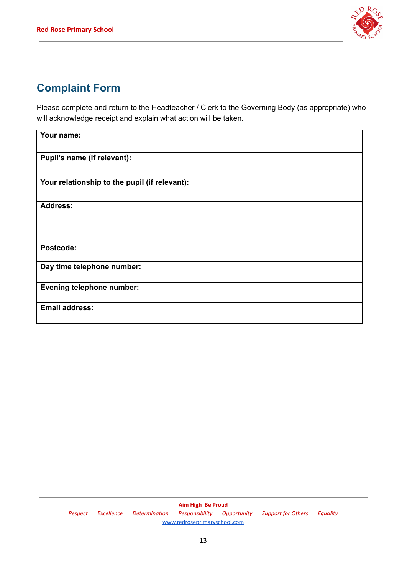

## **Complaint Form**

Please complete and return to the Headteacher / Clerk to the Governing Body (as appropriate) who will acknowledge receipt and explain what action will be taken.

| Your name:                                    |
|-----------------------------------------------|
| Pupil's name (if relevant):                   |
| Your relationship to the pupil (if relevant): |
| <b>Address:</b>                               |
| Postcode:                                     |
| Day time telephone number:                    |
| <b>Evening telephone number:</b>              |
| <b>Email address:</b>                         |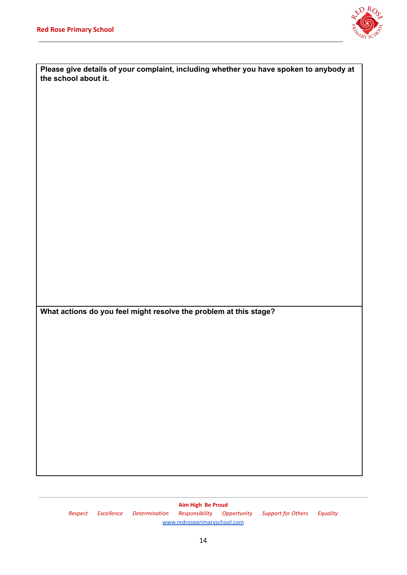

| Please give details of your complaint, including whether you have spoken to anybody at<br>the school about it. |  |
|----------------------------------------------------------------------------------------------------------------|--|
|                                                                                                                |  |
|                                                                                                                |  |
|                                                                                                                |  |
|                                                                                                                |  |
|                                                                                                                |  |
|                                                                                                                |  |
|                                                                                                                |  |
|                                                                                                                |  |
|                                                                                                                |  |
| What actions do you feel might resolve the problem at this stage?                                              |  |
|                                                                                                                |  |
|                                                                                                                |  |
|                                                                                                                |  |
|                                                                                                                |  |
|                                                                                                                |  |
|                                                                                                                |  |
|                                                                                                                |  |

**Aim High Be Proud** *Respect Excellence Determination Responsibility Opportunity Support for Others Equality* [www.redroseprimaryschool.com](http://www.redroseprimaryschool.com)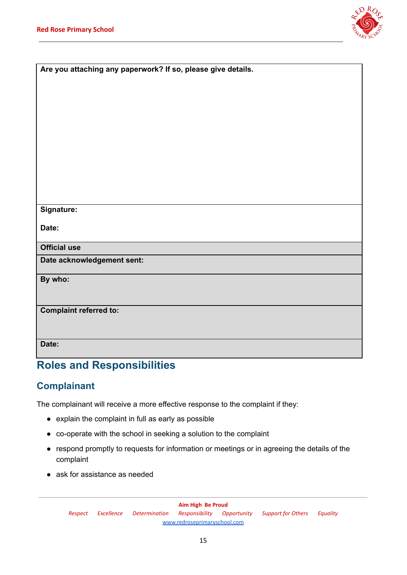

| Are you attaching any paperwork? If so, please give details. |
|--------------------------------------------------------------|
|                                                              |
|                                                              |
|                                                              |
|                                                              |
|                                                              |
|                                                              |
|                                                              |
|                                                              |
|                                                              |
|                                                              |
|                                                              |
|                                                              |
|                                                              |
| Signature:                                                   |
|                                                              |
| Date:                                                        |
|                                                              |
| <b>Official use</b>                                          |
| Date acknowledgement sent:                                   |
|                                                              |
| By who:                                                      |
|                                                              |
|                                                              |
| <b>Complaint referred to:</b>                                |
|                                                              |
|                                                              |
| Date:                                                        |
|                                                              |
|                                                              |

## **Roles and Responsibilities**

#### **Complainant**

The complainant will receive a more effective response to the complaint if they:

- explain the complaint in full as early as possible
- co-operate with the school in seeking a solution to the complaint
- respond promptly to requests for information or meetings or in agreeing the details of the complaint
- ask for assistance as needed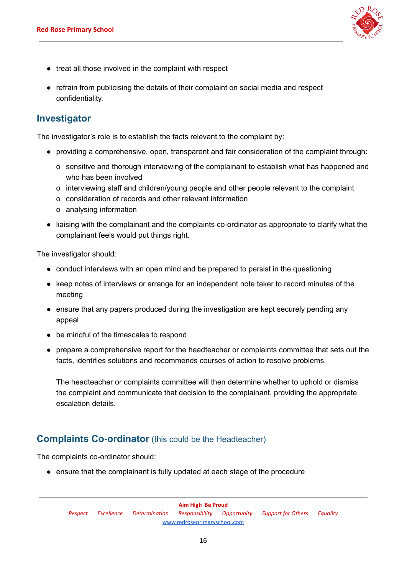

- treat all those involved in the complaint with respect
- refrain from publicising the details of their complaint on social media and respect confidentiality.

#### **Investigator**

The investigator's role is to establish the facts relevant to the complaint by:

- providing a comprehensive, open, transparent and fair consideration of the complaint through:
	- o sensitive and thorough interviewing of the complainant to establish what has happened and who has been involved
	- o interviewing staff and children/young people and other people relevant to the complaint
	- o consideration of records and other relevant information
	- o analysing information
- liaising with the complainant and the complaints co-ordinator as appropriate to clarify what the complainant feels would put things right.

The investigator should:

- conduct interviews with an open mind and be prepared to persist in the questioning
- keep notes of interviews or arrange for an independent note taker to record minutes of the meeting
- ensure that any papers produced during the investigation are kept securely pending any appeal
- be mindful of the timescales to respond
- prepare a comprehensive report for the headteacher or complaints committee that sets out the facts, identifies solutions and recommends courses of action to resolve problems.

The headteacher or complaints committee will then determine whether to uphold or dismiss the complaint and communicate that decision to the complainant, providing the appropriate escalation details.

#### **Complaints Co-ordinator** (this could be the Headteacher)

The complaints co-ordinator should:

• ensure that the complainant is fully updated at each stage of the procedure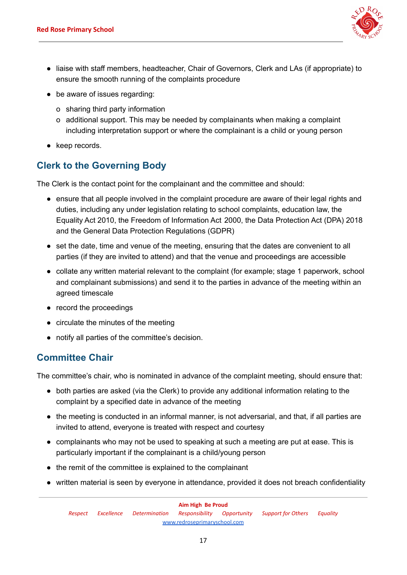

- liaise with staff members, headteacher, Chair of Governors, Clerk and LAs (if appropriate) to ensure the smooth running of the complaints procedure
- be aware of issues regarding:
	- o sharing third party information
	- o additional support. This may be needed by complainants when making a complaint including interpretation support or where the complainant is a child or young person
- keep records.

#### **Clerk to the Governing Body**

The Clerk is the contact point for the complainant and the committee and should:

- ensure that all people involved in the complaint procedure are aware of their legal rights and duties, including any under legislation relating to school complaints, education law, the Equality Act 2010, the Freedom of Information Act 2000, the Data Protection Act (DPA) 2018 and the General Data Protection Regulations (GDPR)
- set the date, time and venue of the meeting, ensuring that the dates are convenient to all parties (if they are invited to attend) and that the venue and proceedings are accessible
- collate any written material relevant to the complaint (for example; stage 1 paperwork, school and complainant submissions) and send it to the parties in advance of the meeting within an agreed timescale
- record the proceedings
- circulate the minutes of the meeting
- notify all parties of the committee's decision.

#### **Committee Chair**

The committee's chair, who is nominated in advance of the complaint meeting, should ensure that:

- both parties are asked (via the Clerk) to provide any additional information relating to the complaint by a specified date in advance of the meeting
- the meeting is conducted in an informal manner, is not adversarial, and that, if all parties are invited to attend, everyone is treated with respect and courtesy
- complainants who may not be used to speaking at such a meeting are put at ease. This is particularly important if the complainant is a child/young person
- the remit of the committee is explained to the complainant
- written material is seen by everyone in attendance, provided it does not breach confidentiality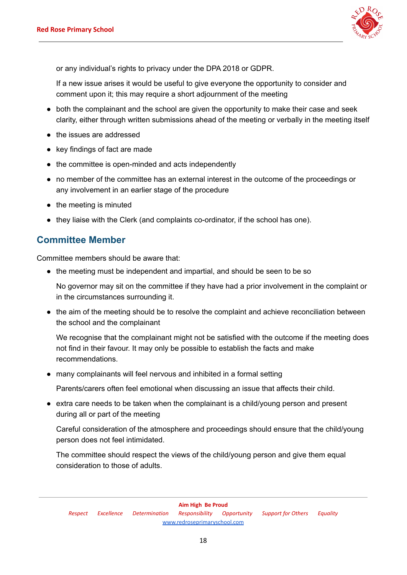

or any individual's rights to privacy under the DPA 2018 or GDPR.

If a new issue arises it would be useful to give everyone the opportunity to consider and comment upon it; this may require a short adjournment of the meeting

- both the complainant and the school are given the opportunity to make their case and seek clarity, either through written submissions ahead of the meeting or verbally in the meeting itself
- the issues are addressed
- key findings of fact are made
- the committee is open-minded and acts independently
- no member of the committee has an external interest in the outcome of the proceedings or any involvement in an earlier stage of the procedure
- the meeting is minuted
- they liaise with the Clerk (and complaints co-ordinator, if the school has one).

#### **Committee Member**

Committee members should be aware that:

• the meeting must be independent and impartial, and should be seen to be so

No governor may sit on the committee if they have had a prior involvement in the complaint or in the circumstances surrounding it.

● the aim of the meeting should be to resolve the complaint and achieve reconciliation between the school and the complainant

We recognise that the complainant might not be satisfied with the outcome if the meeting does not find in their favour. It may only be possible to establish the facts and make recommendations.

● many complainants will feel nervous and inhibited in a formal setting

Parents/carers often feel emotional when discussing an issue that affects their child.

● extra care needs to be taken when the complainant is a child/young person and present during all or part of the meeting

Careful consideration of the atmosphere and proceedings should ensure that the child/young person does not feel intimidated.

The committee should respect the views of the child/young person and give them equal consideration to those of adults.